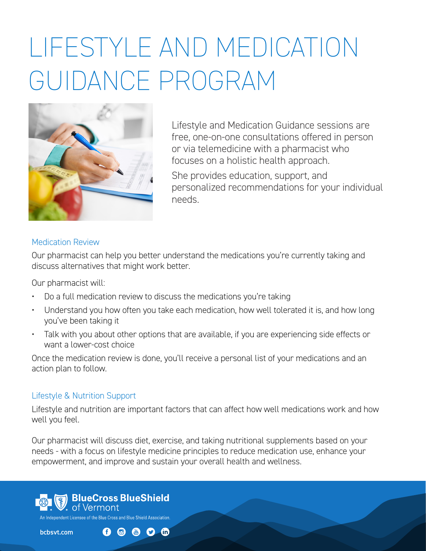# LIFESTYLE AND MEDICATION GUIDANCE PROGRAM



Lifestyle and Medication Guidance sessions are free, one-on-one consultations offered in person or via telemedicine with a pharmacist who focuses on a holistic health approach. She provides education, support, and personalized recommendations for your individual needs.

## Medication Review

Our pharmacist can help you better understand the medications you're currently taking and discuss alternatives that might work better.

Our pharmacist will:

- Do a full medication review to discuss the medications you're taking
- Understand you how often you take each medication, how well tolerated it is, and how long you've been taking it
- Talk with you about other options that are available, if you are experiencing side effects or want a lower-cost choice

Once the medication review is done, you'll receive a personal list of your medications and an action plan to follow.

### Lifestyle & Nutrition Support

Lifestyle and nutrition are important factors that can affect how well medications work and how well you feel.

Our pharmacist will discuss diet, exercise, and taking nutritional supplements based on your needs - with a focus on lifestyle medicine principles to reduce medication use, enhance your empowerment, and improve and sustain your overall health and wellness.



bcbsvt.com

 $0$  @ 8  $0$  m